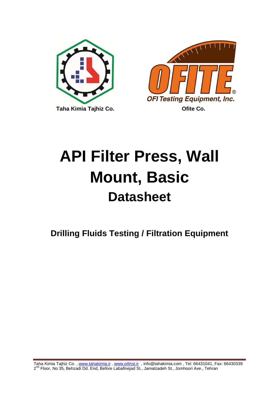



# **API Filter Press, Wall Mount, Basic Datasheet**

**Drilling Fluids Testing / Filtration Equipment**

Taha Kimia Tajhiz Co., www.tahakimia.ir, www.oilinst.ir, info@tahakimia.com, Tel: 66431041, Fax: 66430339 2<sup>nd</sup> Floor, No 35, Behzadi Dd. End, Before Labafinejad St., Jamalzadeh St., Jomhoori Ave., Tehran